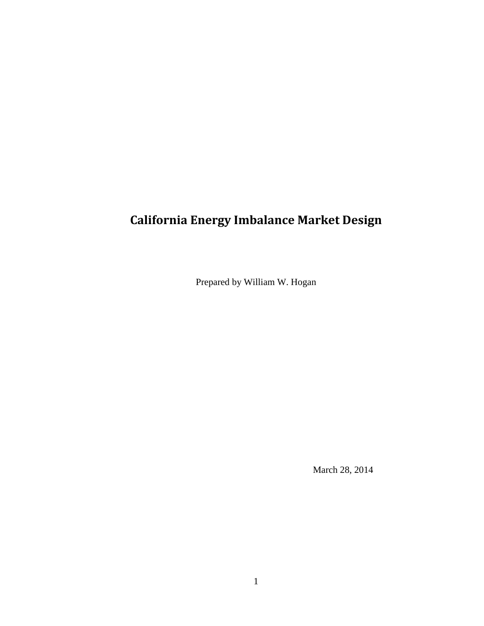# **California Energy Imbalance Market Design**

Prepared by William W. Hogan

March 28, 2014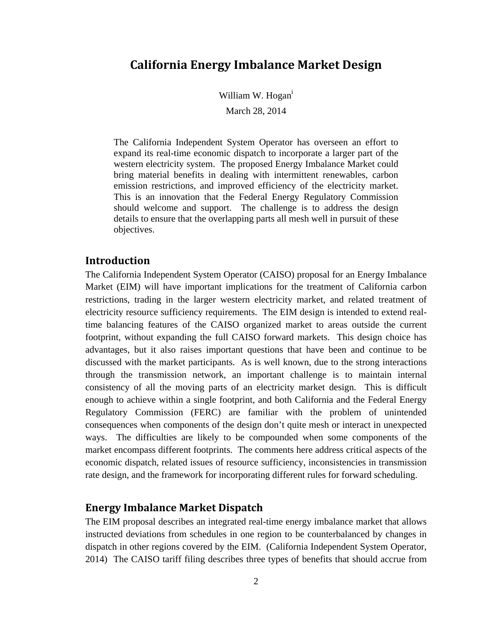# **California Energy Imbalance Market Design**

William W. Hogan<sup>i</sup>

March 28, 2014

The California Independent System Operator has overseen an effort to expand its real-time economic dispatch to incorporate a larger part of the western electricity system. The proposed Energy Imbalance Market could bring material benefits in dealing with intermittent renewables, carbon emission restrictions, and improved efficiency of the electricity market. This is an innovation that the Federal Energy Regulatory Commission should welcome and support. The challenge is to address the design details to ensure that the overlapping parts all mesh well in pursuit of these objectives.

#### **Introduction**

The California Independent System Operator (CAISO) proposal for an Energy Imbalance Market (EIM) will have important implications for the treatment of California carbon restrictions, trading in the larger western electricity market, and related treatment of electricity resource sufficiency requirements. The EIM design is intended to extend realtime balancing features of the CAISO organized market to areas outside the current footprint, without expanding the full CAISO forward markets. This design choice has advantages, but it also raises important questions that have been and continue to be discussed with the market participants. As is well known, due to the strong interactions through the transmission network, an important challenge is to maintain internal consistency of all the moving parts of an electricity market design. This is difficult enough to achieve within a single footprint, and both California and the Federal Energy Regulatory Commission (FERC) are familiar with the problem of unintended consequences when components of the design don't quite mesh or interact in unexpected ways. The difficulties are likely to be compounded when some components of the market encompass different footprints. The comments here address critical aspects of the economic dispatch, related issues of resource sufficiency, inconsistencies in transmission rate design, and the framework for incorporating different rules for forward scheduling.

## **Energy Imbalance Market Dispatch**

The EIM proposal describes an integrated real-time energy imbalance market that allows instructed deviations from schedules in one region to be counterbalanced by changes in dispatch in other regions covered by the EIM. (California Independent System Operator, 2014) The CAISO tariff filing describes three types of benefits that should accrue from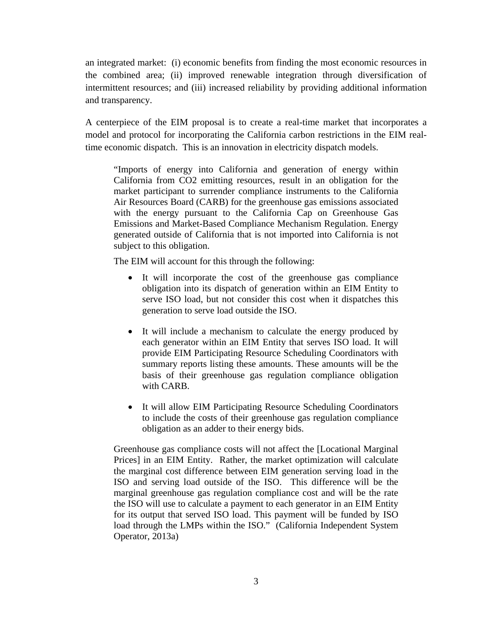an integrated market: (i) economic benefits from finding the most economic resources in the combined area; (ii) improved renewable integration through diversification of intermittent resources; and (iii) increased reliability by providing additional information and transparency.

A centerpiece of the EIM proposal is to create a real-time market that incorporates a model and protocol for incorporating the California carbon restrictions in the EIM realtime economic dispatch. This is an innovation in electricity dispatch models.

"Imports of energy into California and generation of energy within California from CO2 emitting resources, result in an obligation for the market participant to surrender compliance instruments to the California Air Resources Board (CARB) for the greenhouse gas emissions associated with the energy pursuant to the California Cap on Greenhouse Gas Emissions and Market-Based Compliance Mechanism Regulation. Energy generated outside of California that is not imported into California is not subject to this obligation.

The EIM will account for this through the following:

- It will incorporate the cost of the greenhouse gas compliance obligation into its dispatch of generation within an EIM Entity to serve ISO load, but not consider this cost when it dispatches this generation to serve load outside the ISO.
- It will include a mechanism to calculate the energy produced by each generator within an EIM Entity that serves ISO load. It will provide EIM Participating Resource Scheduling Coordinators with summary reports listing these amounts. These amounts will be the basis of their greenhouse gas regulation compliance obligation with CARB.
- It will allow EIM Participating Resource Scheduling Coordinators to include the costs of their greenhouse gas regulation compliance obligation as an adder to their energy bids.

Greenhouse gas compliance costs will not affect the [Locational Marginal Prices] in an EIM Entity. Rather, the market optimization will calculate the marginal cost difference between EIM generation serving load in the ISO and serving load outside of the ISO. This difference will be the marginal greenhouse gas regulation compliance cost and will be the rate the ISO will use to calculate a payment to each generator in an EIM Entity for its output that served ISO load. This payment will be funded by ISO load through the LMPs within the ISO." (California Independent System Operator, 2013a)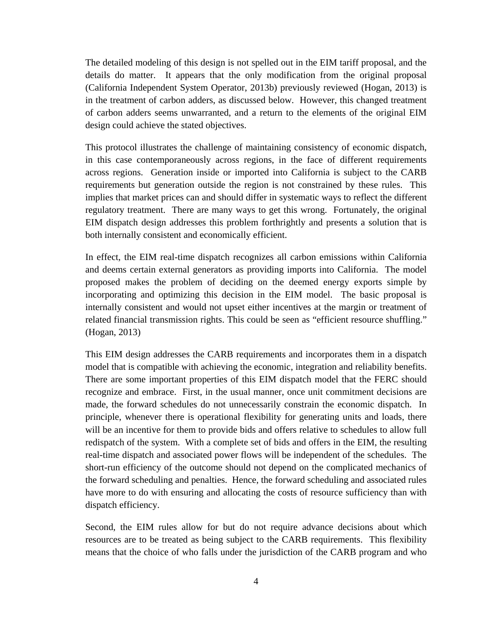The detailed modeling of this design is not spelled out in the EIM tariff proposal, and the details do matter. It appears that the only modification from the original proposal (California Independent System Operator, 2013b) previously reviewed (Hogan, 2013) is in the treatment of carbon adders, as discussed below. However, this changed treatment of carbon adders seems unwarranted, and a return to the elements of the original EIM design could achieve the stated objectives.

This protocol illustrates the challenge of maintaining consistency of economic dispatch, in this case contemporaneously across regions, in the face of different requirements across regions. Generation inside or imported into California is subject to the CARB requirements but generation outside the region is not constrained by these rules. This implies that market prices can and should differ in systematic ways to reflect the different regulatory treatment. There are many ways to get this wrong. Fortunately, the original EIM dispatch design addresses this problem forthrightly and presents a solution that is both internally consistent and economically efficient.

In effect, the EIM real-time dispatch recognizes all carbon emissions within California and deems certain external generators as providing imports into California. The model proposed makes the problem of deciding on the deemed energy exports simple by incorporating and optimizing this decision in the EIM model. The basic proposal is internally consistent and would not upset either incentives at the margin or treatment of related financial transmission rights. This could be seen as "efficient resource shuffling." (Hogan, 2013)

This EIM design addresses the CARB requirements and incorporates them in a dispatch model that is compatible with achieving the economic, integration and reliability benefits. There are some important properties of this EIM dispatch model that the FERC should recognize and embrace. First, in the usual manner, once unit commitment decisions are made, the forward schedules do not unnecessarily constrain the economic dispatch. In principle, whenever there is operational flexibility for generating units and loads, there will be an incentive for them to provide bids and offers relative to schedules to allow full redispatch of the system. With a complete set of bids and offers in the EIM, the resulting real-time dispatch and associated power flows will be independent of the schedules. The short-run efficiency of the outcome should not depend on the complicated mechanics of the forward scheduling and penalties. Hence, the forward scheduling and associated rules have more to do with ensuring and allocating the costs of resource sufficiency than with dispatch efficiency.

Second, the EIM rules allow for but do not require advance decisions about which resources are to be treated as being subject to the CARB requirements. This flexibility means that the choice of who falls under the jurisdiction of the CARB program and who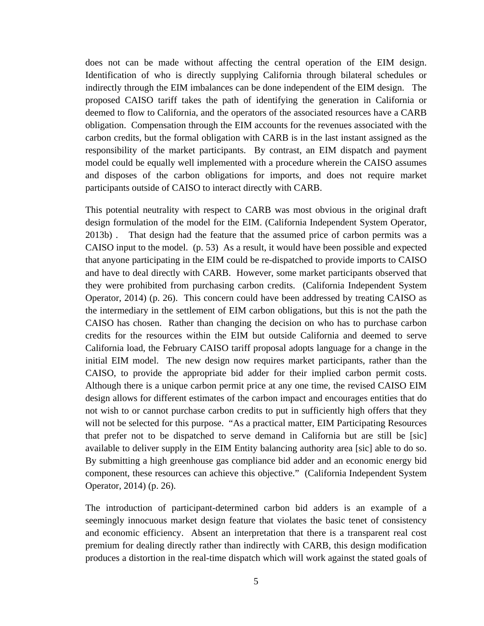does not can be made without affecting the central operation of the EIM design. Identification of who is directly supplying California through bilateral schedules or indirectly through the EIM imbalances can be done independent of the EIM design. The proposed CAISO tariff takes the path of identifying the generation in California or deemed to flow to California, and the operators of the associated resources have a CARB obligation. Compensation through the EIM accounts for the revenues associated with the carbon credits, but the formal obligation with CARB is in the last instant assigned as the responsibility of the market participants. By contrast, an EIM dispatch and payment model could be equally well implemented with a procedure wherein the CAISO assumes and disposes of the carbon obligations for imports, and does not require market participants outside of CAISO to interact directly with CARB.

This potential neutrality with respect to CARB was most obvious in the original draft design formulation of the model for the EIM. (California Independent System Operator, 2013b) . That design had the feature that the assumed price of carbon permits was a CAISO input to the model. (p. 53) As a result, it would have been possible and expected that anyone participating in the EIM could be re-dispatched to provide imports to CAISO and have to deal directly with CARB. However, some market participants observed that they were prohibited from purchasing carbon credits. (California Independent System Operator, 2014) (p. 26). This concern could have been addressed by treating CAISO as the intermediary in the settlement of EIM carbon obligations, but this is not the path the CAISO has chosen. Rather than changing the decision on who has to purchase carbon credits for the resources within the EIM but outside California and deemed to serve California load, the February CAISO tariff proposal adopts language for a change in the initial EIM model. The new design now requires market participants, rather than the CAISO, to provide the appropriate bid adder for their implied carbon permit costs. Although there is a unique carbon permit price at any one time, the revised CAISO EIM design allows for different estimates of the carbon impact and encourages entities that do not wish to or cannot purchase carbon credits to put in sufficiently high offers that they will not be selected for this purpose. "As a practical matter, EIM Participating Resources that prefer not to be dispatched to serve demand in California but are still be [sic] available to deliver supply in the EIM Entity balancing authority area [sic] able to do so. By submitting a high greenhouse gas compliance bid adder and an economic energy bid component, these resources can achieve this objective." (California Independent System Operator, 2014) (p. 26).

The introduction of participant-determined carbon bid adders is an example of a seemingly innocuous market design feature that violates the basic tenet of consistency and economic efficiency. Absent an interpretation that there is a transparent real cost premium for dealing directly rather than indirectly with CARB, this design modification produces a distortion in the real-time dispatch which will work against the stated goals of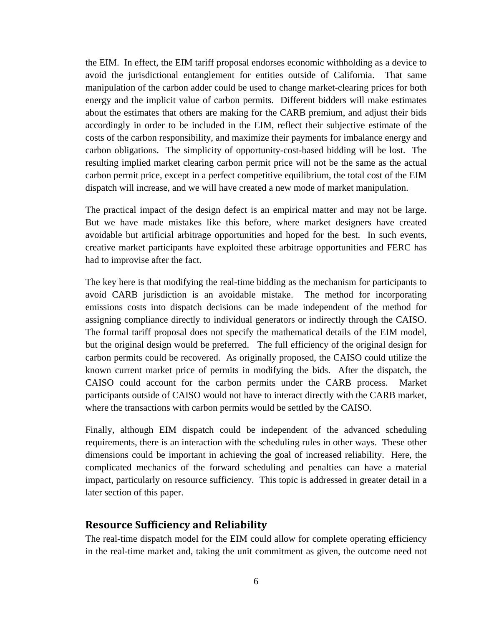the EIM. In effect, the EIM tariff proposal endorses economic withholding as a device to avoid the jurisdictional entanglement for entities outside of California. That same manipulation of the carbon adder could be used to change market-clearing prices for both energy and the implicit value of carbon permits. Different bidders will make estimates about the estimates that others are making for the CARB premium, and adjust their bids accordingly in order to be included in the EIM, reflect their subjective estimate of the costs of the carbon responsibility, and maximize their payments for imbalance energy and carbon obligations. The simplicity of opportunity-cost-based bidding will be lost. The resulting implied market clearing carbon permit price will not be the same as the actual carbon permit price, except in a perfect competitive equilibrium, the total cost of the EIM dispatch will increase, and we will have created a new mode of market manipulation.

The practical impact of the design defect is an empirical matter and may not be large. But we have made mistakes like this before, where market designers have created avoidable but artificial arbitrage opportunities and hoped for the best. In such events, creative market participants have exploited these arbitrage opportunities and FERC has had to improvise after the fact.

The key here is that modifying the real-time bidding as the mechanism for participants to avoid CARB jurisdiction is an avoidable mistake. The method for incorporating emissions costs into dispatch decisions can be made independent of the method for assigning compliance directly to individual generators or indirectly through the CAISO. The formal tariff proposal does not specify the mathematical details of the EIM model, but the original design would be preferred. The full efficiency of the original design for carbon permits could be recovered. As originally proposed, the CAISO could utilize the known current market price of permits in modifying the bids. After the dispatch, the CAISO could account for the carbon permits under the CARB process. Market participants outside of CAISO would not have to interact directly with the CARB market, where the transactions with carbon permits would be settled by the CAISO.

Finally, although EIM dispatch could be independent of the advanced scheduling requirements, there is an interaction with the scheduling rules in other ways. These other dimensions could be important in achieving the goal of increased reliability. Here, the complicated mechanics of the forward scheduling and penalties can have a material impact, particularly on resource sufficiency. This topic is addressed in greater detail in a later section of this paper.

#### **Resource Sufficiency and Reliability**

The real-time dispatch model for the EIM could allow for complete operating efficiency in the real-time market and, taking the unit commitment as given, the outcome need not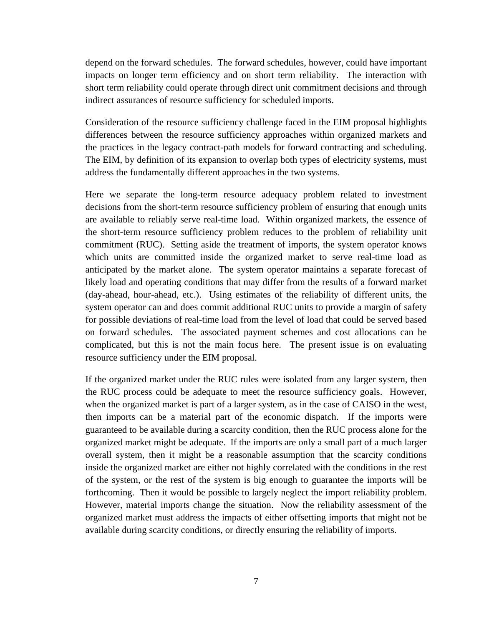depend on the forward schedules. The forward schedules, however, could have important impacts on longer term efficiency and on short term reliability. The interaction with short term reliability could operate through direct unit commitment decisions and through indirect assurances of resource sufficiency for scheduled imports.

Consideration of the resource sufficiency challenge faced in the EIM proposal highlights differences between the resource sufficiency approaches within organized markets and the practices in the legacy contract-path models for forward contracting and scheduling. The EIM, by definition of its expansion to overlap both types of electricity systems, must address the fundamentally different approaches in the two systems.

Here we separate the long-term resource adequacy problem related to investment decisions from the short-term resource sufficiency problem of ensuring that enough units are available to reliably serve real-time load. Within organized markets, the essence of the short-term resource sufficiency problem reduces to the problem of reliability unit commitment (RUC). Setting aside the treatment of imports, the system operator knows which units are committed inside the organized market to serve real-time load as anticipated by the market alone. The system operator maintains a separate forecast of likely load and operating conditions that may differ from the results of a forward market (day-ahead, hour-ahead, etc.). Using estimates of the reliability of different units, the system operator can and does commit additional RUC units to provide a margin of safety for possible deviations of real-time load from the level of load that could be served based on forward schedules. The associated payment schemes and cost allocations can be complicated, but this is not the main focus here. The present issue is on evaluating resource sufficiency under the EIM proposal.

If the organized market under the RUC rules were isolated from any larger system, then the RUC process could be adequate to meet the resource sufficiency goals. However, when the organized market is part of a larger system, as in the case of CAISO in the west, then imports can be a material part of the economic dispatch. If the imports were guaranteed to be available during a scarcity condition, then the RUC process alone for the organized market might be adequate. If the imports are only a small part of a much larger overall system, then it might be a reasonable assumption that the scarcity conditions inside the organized market are either not highly correlated with the conditions in the rest of the system, or the rest of the system is big enough to guarantee the imports will be forthcoming. Then it would be possible to largely neglect the import reliability problem. However, material imports change the situation. Now the reliability assessment of the organized market must address the impacts of either offsetting imports that might not be available during scarcity conditions, or directly ensuring the reliability of imports.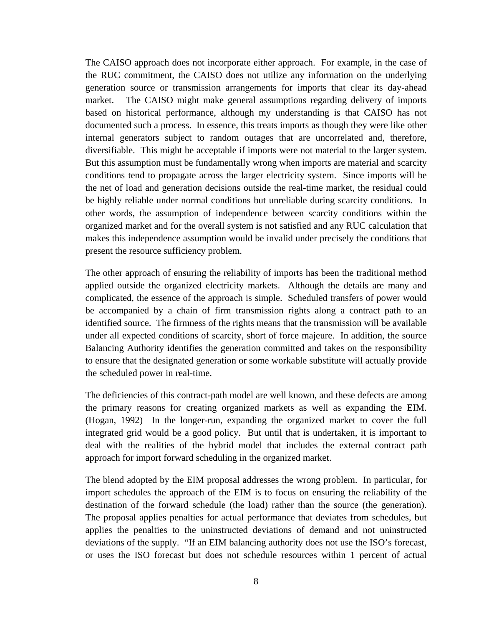The CAISO approach does not incorporate either approach. For example, in the case of the RUC commitment, the CAISO does not utilize any information on the underlying generation source or transmission arrangements for imports that clear its day-ahead market. The CAISO might make general assumptions regarding delivery of imports based on historical performance, although my understanding is that CAISO has not documented such a process. In essence, this treats imports as though they were like other internal generators subject to random outages that are uncorrelated and, therefore, diversifiable. This might be acceptable if imports were not material to the larger system. But this assumption must be fundamentally wrong when imports are material and scarcity conditions tend to propagate across the larger electricity system. Since imports will be the net of load and generation decisions outside the real-time market, the residual could be highly reliable under normal conditions but unreliable during scarcity conditions. In other words, the assumption of independence between scarcity conditions within the organized market and for the overall system is not satisfied and any RUC calculation that makes this independence assumption would be invalid under precisely the conditions that present the resource sufficiency problem.

The other approach of ensuring the reliability of imports has been the traditional method applied outside the organized electricity markets. Although the details are many and complicated, the essence of the approach is simple. Scheduled transfers of power would be accompanied by a chain of firm transmission rights along a contract path to an identified source. The firmness of the rights means that the transmission will be available under all expected conditions of scarcity, short of force majeure. In addition, the source Balancing Authority identifies the generation committed and takes on the responsibility to ensure that the designated generation or some workable substitute will actually provide the scheduled power in real-time.

The deficiencies of this contract-path model are well known, and these defects are among the primary reasons for creating organized markets as well as expanding the EIM. (Hogan, 1992) In the longer-run, expanding the organized market to cover the full integrated grid would be a good policy. But until that is undertaken, it is important to deal with the realities of the hybrid model that includes the external contract path approach for import forward scheduling in the organized market.

The blend adopted by the EIM proposal addresses the wrong problem. In particular, for import schedules the approach of the EIM is to focus on ensuring the reliability of the destination of the forward schedule (the load) rather than the source (the generation). The proposal applies penalties for actual performance that deviates from schedules, but applies the penalties to the uninstructed deviations of demand and not uninstructed deviations of the supply. "If an EIM balancing authority does not use the ISO's forecast, or uses the ISO forecast but does not schedule resources within 1 percent of actual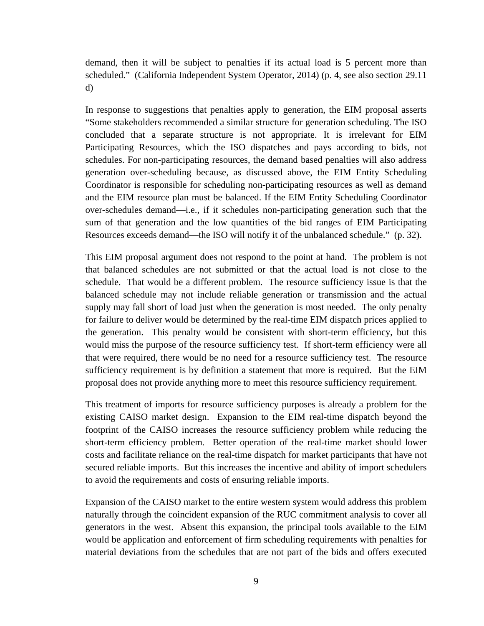demand, then it will be subject to penalties if its actual load is 5 percent more than scheduled." (California Independent System Operator, 2014) (p. 4, see also section 29.11 d)

In response to suggestions that penalties apply to generation, the EIM proposal asserts "Some stakeholders recommended a similar structure for generation scheduling. The ISO concluded that a separate structure is not appropriate. It is irrelevant for EIM Participating Resources, which the ISO dispatches and pays according to bids, not schedules. For non-participating resources, the demand based penalties will also address generation over-scheduling because, as discussed above, the EIM Entity Scheduling Coordinator is responsible for scheduling non-participating resources as well as demand and the EIM resource plan must be balanced. If the EIM Entity Scheduling Coordinator over-schedules demand—i.e., if it schedules non-participating generation such that the sum of that generation and the low quantities of the bid ranges of EIM Participating Resources exceeds demand—the ISO will notify it of the unbalanced schedule." (p. 32).

This EIM proposal argument does not respond to the point at hand. The problem is not that balanced schedules are not submitted or that the actual load is not close to the schedule. That would be a different problem. The resource sufficiency issue is that the balanced schedule may not include reliable generation or transmission and the actual supply may fall short of load just when the generation is most needed. The only penalty for failure to deliver would be determined by the real-time EIM dispatch prices applied to the generation. This penalty would be consistent with short-term efficiency, but this would miss the purpose of the resource sufficiency test. If short-term efficiency were all that were required, there would be no need for a resource sufficiency test. The resource sufficiency requirement is by definition a statement that more is required. But the EIM proposal does not provide anything more to meet this resource sufficiency requirement.

This treatment of imports for resource sufficiency purposes is already a problem for the existing CAISO market design. Expansion to the EIM real-time dispatch beyond the footprint of the CAISO increases the resource sufficiency problem while reducing the short-term efficiency problem. Better operation of the real-time market should lower costs and facilitate reliance on the real-time dispatch for market participants that have not secured reliable imports. But this increases the incentive and ability of import schedulers to avoid the requirements and costs of ensuring reliable imports.

Expansion of the CAISO market to the entire western system would address this problem naturally through the coincident expansion of the RUC commitment analysis to cover all generators in the west. Absent this expansion, the principal tools available to the EIM would be application and enforcement of firm scheduling requirements with penalties for material deviations from the schedules that are not part of the bids and offers executed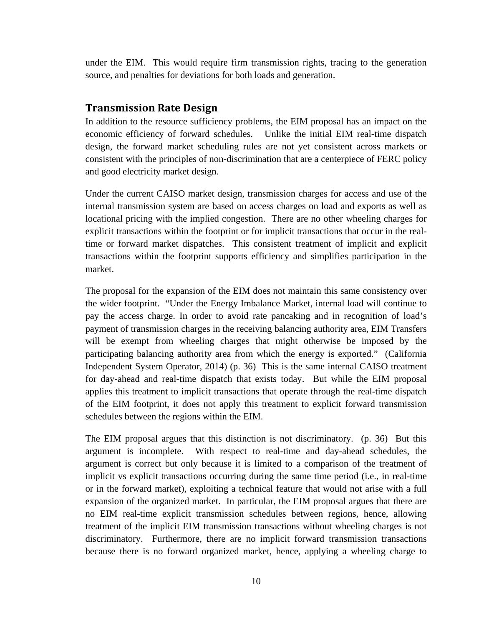under the EIM. This would require firm transmission rights, tracing to the generation source, and penalties for deviations for both loads and generation.

## **Transmission Rate Design**

In addition to the resource sufficiency problems, the EIM proposal has an impact on the economic efficiency of forward schedules. Unlike the initial EIM real-time dispatch design, the forward market scheduling rules are not yet consistent across markets or consistent with the principles of non-discrimination that are a centerpiece of FERC policy and good electricity market design.

Under the current CAISO market design, transmission charges for access and use of the internal transmission system are based on access charges on load and exports as well as locational pricing with the implied congestion. There are no other wheeling charges for explicit transactions within the footprint or for implicit transactions that occur in the realtime or forward market dispatches. This consistent treatment of implicit and explicit transactions within the footprint supports efficiency and simplifies participation in the market.

The proposal for the expansion of the EIM does not maintain this same consistency over the wider footprint. "Under the Energy Imbalance Market, internal load will continue to pay the access charge. In order to avoid rate pancaking and in recognition of load's payment of transmission charges in the receiving balancing authority area, EIM Transfers will be exempt from wheeling charges that might otherwise be imposed by the participating balancing authority area from which the energy is exported." (California Independent System Operator, 2014) (p. 36) This is the same internal CAISO treatment for day-ahead and real-time dispatch that exists today. But while the EIM proposal applies this treatment to implicit transactions that operate through the real-time dispatch of the EIM footprint, it does not apply this treatment to explicit forward transmission schedules between the regions within the EIM.

The EIM proposal argues that this distinction is not discriminatory. (p. 36) But this argument is incomplete. With respect to real-time and day-ahead schedules, the argument is correct but only because it is limited to a comparison of the treatment of implicit vs explicit transactions occurring during the same time period (i.e., in real-time or in the forward market), exploiting a technical feature that would not arise with a full expansion of the organized market. In particular, the EIM proposal argues that there are no EIM real-time explicit transmission schedules between regions, hence, allowing treatment of the implicit EIM transmission transactions without wheeling charges is not discriminatory. Furthermore, there are no implicit forward transmission transactions because there is no forward organized market, hence, applying a wheeling charge to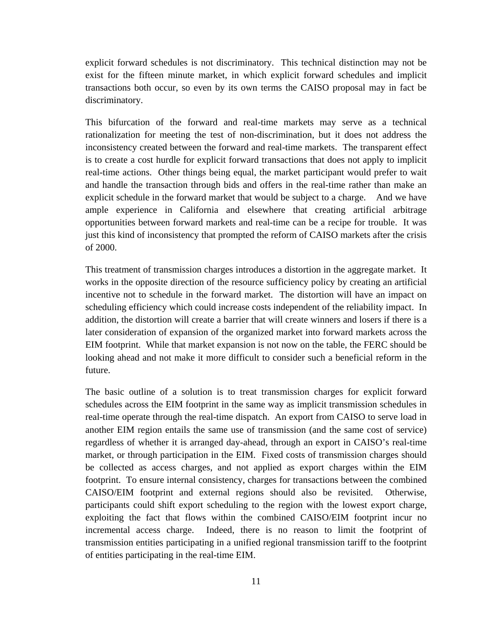explicit forward schedules is not discriminatory. This technical distinction may not be exist for the fifteen minute market, in which explicit forward schedules and implicit transactions both occur, so even by its own terms the CAISO proposal may in fact be discriminatory.

This bifurcation of the forward and real-time markets may serve as a technical rationalization for meeting the test of non-discrimination, but it does not address the inconsistency created between the forward and real-time markets. The transparent effect is to create a cost hurdle for explicit forward transactions that does not apply to implicit real-time actions. Other things being equal, the market participant would prefer to wait and handle the transaction through bids and offers in the real-time rather than make an explicit schedule in the forward market that would be subject to a charge. And we have ample experience in California and elsewhere that creating artificial arbitrage opportunities between forward markets and real-time can be a recipe for trouble. It was just this kind of inconsistency that prompted the reform of CAISO markets after the crisis of 2000.

This treatment of transmission charges introduces a distortion in the aggregate market. It works in the opposite direction of the resource sufficiency policy by creating an artificial incentive not to schedule in the forward market. The distortion will have an impact on scheduling efficiency which could increase costs independent of the reliability impact. In addition, the distortion will create a barrier that will create winners and losers if there is a later consideration of expansion of the organized market into forward markets across the EIM footprint. While that market expansion is not now on the table, the FERC should be looking ahead and not make it more difficult to consider such a beneficial reform in the future.

The basic outline of a solution is to treat transmission charges for explicit forward schedules across the EIM footprint in the same way as implicit transmission schedules in real-time operate through the real-time dispatch. An export from CAISO to serve load in another EIM region entails the same use of transmission (and the same cost of service) regardless of whether it is arranged day-ahead, through an export in CAISO's real-time market, or through participation in the EIM. Fixed costs of transmission charges should be collected as access charges, and not applied as export charges within the EIM footprint. To ensure internal consistency, charges for transactions between the combined CAISO/EIM footprint and external regions should also be revisited. Otherwise, participants could shift export scheduling to the region with the lowest export charge, exploiting the fact that flows within the combined CAISO/EIM footprint incur no incremental access charge. Indeed, there is no reason to limit the footprint of transmission entities participating in a unified regional transmission tariff to the footprint of entities participating in the real-time EIM.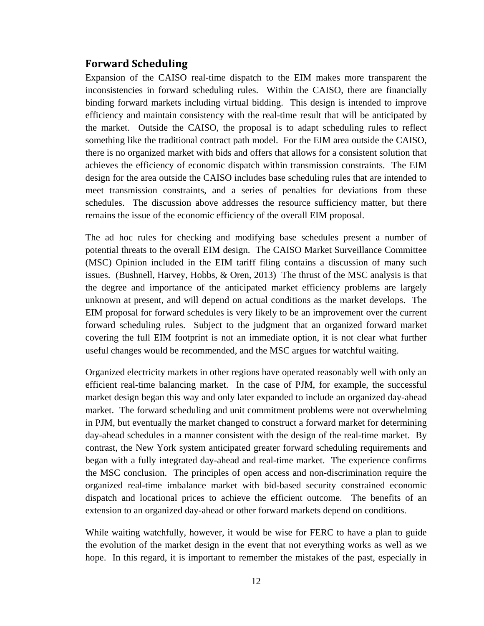# **Forward Scheduling**

Expansion of the CAISO real-time dispatch to the EIM makes more transparent the inconsistencies in forward scheduling rules. Within the CAISO, there are financially binding forward markets including virtual bidding. This design is intended to improve efficiency and maintain consistency with the real-time result that will be anticipated by the market. Outside the CAISO, the proposal is to adapt scheduling rules to reflect something like the traditional contract path model. For the EIM area outside the CAISO, there is no organized market with bids and offers that allows for a consistent solution that achieves the efficiency of economic dispatch within transmission constraints. The EIM design for the area outside the CAISO includes base scheduling rules that are intended to meet transmission constraints, and a series of penalties for deviations from these schedules. The discussion above addresses the resource sufficiency matter, but there remains the issue of the economic efficiency of the overall EIM proposal.

The ad hoc rules for checking and modifying base schedules present a number of potential threats to the overall EIM design. The CAISO Market Surveillance Committee (MSC) Opinion included in the EIM tariff filing contains a discussion of many such issues. (Bushnell, Harvey, Hobbs, & Oren, 2013) The thrust of the MSC analysis is that the degree and importance of the anticipated market efficiency problems are largely unknown at present, and will depend on actual conditions as the market develops. The EIM proposal for forward schedules is very likely to be an improvement over the current forward scheduling rules. Subject to the judgment that an organized forward market covering the full EIM footprint is not an immediate option, it is not clear what further useful changes would be recommended, and the MSC argues for watchful waiting.

Organized electricity markets in other regions have operated reasonably well with only an efficient real-time balancing market. In the case of PJM, for example, the successful market design began this way and only later expanded to include an organized day-ahead market. The forward scheduling and unit commitment problems were not overwhelming in PJM, but eventually the market changed to construct a forward market for determining day-ahead schedules in a manner consistent with the design of the real-time market. By contrast, the New York system anticipated greater forward scheduling requirements and began with a fully integrated day-ahead and real-time market. The experience confirms the MSC conclusion. The principles of open access and non-discrimination require the organized real-time imbalance market with bid-based security constrained economic dispatch and locational prices to achieve the efficient outcome. The benefits of an extension to an organized day-ahead or other forward markets depend on conditions.

While waiting watchfully, however, it would be wise for FERC to have a plan to guide the evolution of the market design in the event that not everything works as well as we hope. In this regard, it is important to remember the mistakes of the past, especially in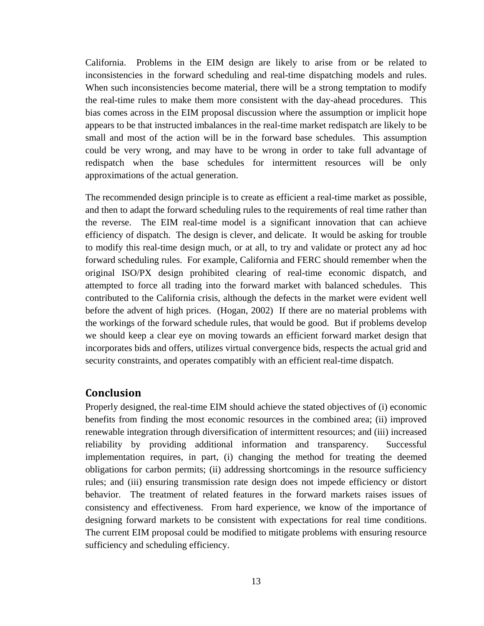California. Problems in the EIM design are likely to arise from or be related to inconsistencies in the forward scheduling and real-time dispatching models and rules. When such inconsistencies become material, there will be a strong temptation to modify the real-time rules to make them more consistent with the day-ahead procedures. This bias comes across in the EIM proposal discussion where the assumption or implicit hope appears to be that instructed imbalances in the real-time market redispatch are likely to be small and most of the action will be in the forward base schedules. This assumption could be very wrong, and may have to be wrong in order to take full advantage of redispatch when the base schedules for intermittent resources will be only approximations of the actual generation.

The recommended design principle is to create as efficient a real-time market as possible, and then to adapt the forward scheduling rules to the requirements of real time rather than the reverse. The EIM real-time model is a significant innovation that can achieve efficiency of dispatch. The design is clever, and delicate. It would be asking for trouble to modify this real-time design much, or at all, to try and validate or protect any ad hoc forward scheduling rules. For example, California and FERC should remember when the original ISO/PX design prohibited clearing of real-time economic dispatch, and attempted to force all trading into the forward market with balanced schedules. This contributed to the California crisis, although the defects in the market were evident well before the advent of high prices. (Hogan, 2002) If there are no material problems with the workings of the forward schedule rules, that would be good. But if problems develop we should keep a clear eye on moving towards an efficient forward market design that incorporates bids and offers, utilizes virtual convergence bids, respects the actual grid and security constraints, and operates compatibly with an efficient real-time dispatch.

## **Conclusion**

Properly designed, the real-time EIM should achieve the stated objectives of (i) economic benefits from finding the most economic resources in the combined area; (ii) improved renewable integration through diversification of intermittent resources; and (iii) increased reliability by providing additional information and transparency. Successful implementation requires, in part, (i) changing the method for treating the deemed obligations for carbon permits; (ii) addressing shortcomings in the resource sufficiency rules; and (iii) ensuring transmission rate design does not impede efficiency or distort behavior. The treatment of related features in the forward markets raises issues of consistency and effectiveness. From hard experience, we know of the importance of designing forward markets to be consistent with expectations for real time conditions. The current EIM proposal could be modified to mitigate problems with ensuring resource sufficiency and scheduling efficiency.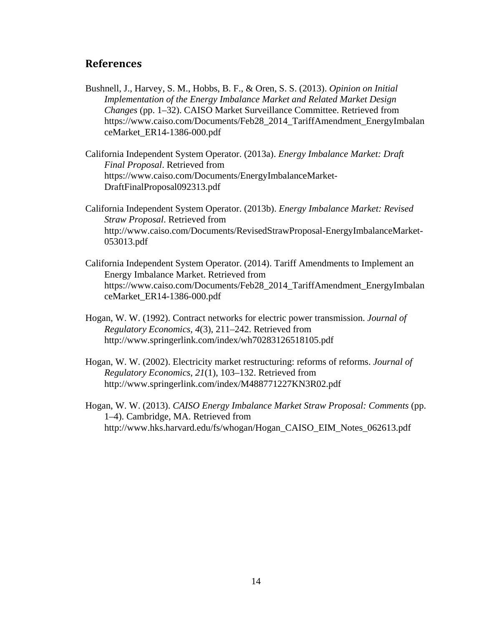# **References**

- Bushnell, J., Harvey, S. M., Hobbs, B. F., & Oren, S. S. (2013). *Opinion on Initial Implementation of the Energy Imbalance Market and Related Market Design Changes* (pp. 1–32). CAISO Market Surveillance Committee. Retrieved from https://www.caiso.com/Documents/Feb28\_2014\_TariffAmendment\_EnergyImbalan ceMarket\_ER14-1386-000.pdf
- California Independent System Operator. (2013a). *Energy Imbalance Market: Draft Final Proposal*. Retrieved from https://www.caiso.com/Documents/EnergyImbalanceMarket-DraftFinalProposal092313.pdf
- California Independent System Operator. (2013b). *Energy Imbalance Market: Revised Straw Proposal*. Retrieved from http://www.caiso.com/Documents/RevisedStrawProposal-EnergyImbalanceMarket-053013.pdf
- California Independent System Operator. (2014). Tariff Amendments to Implement an Energy Imbalance Market. Retrieved from https://www.caiso.com/Documents/Feb28\_2014\_TariffAmendment\_EnergyImbalan ceMarket\_ER14-1386-000.pdf
- Hogan, W. W. (1992). Contract networks for electric power transmission. *Journal of Regulatory Economics*, *4*(3), 211–242. Retrieved from http://www.springerlink.com/index/wh70283126518105.pdf
- Hogan, W. W. (2002). Electricity market restructuring: reforms of reforms. *Journal of Regulatory Economics*, *21*(1), 103–132. Retrieved from http://www.springerlink.com/index/M488771227KN3R02.pdf
- Hogan, W. W. (2013). *CAISO Energy Imbalance Market Straw Proposal: Comments* (pp. 1–4). Cambridge, MA. Retrieved from http://www.hks.harvard.edu/fs/whogan/Hogan\_CAISO\_EIM\_Notes\_062613.pdf